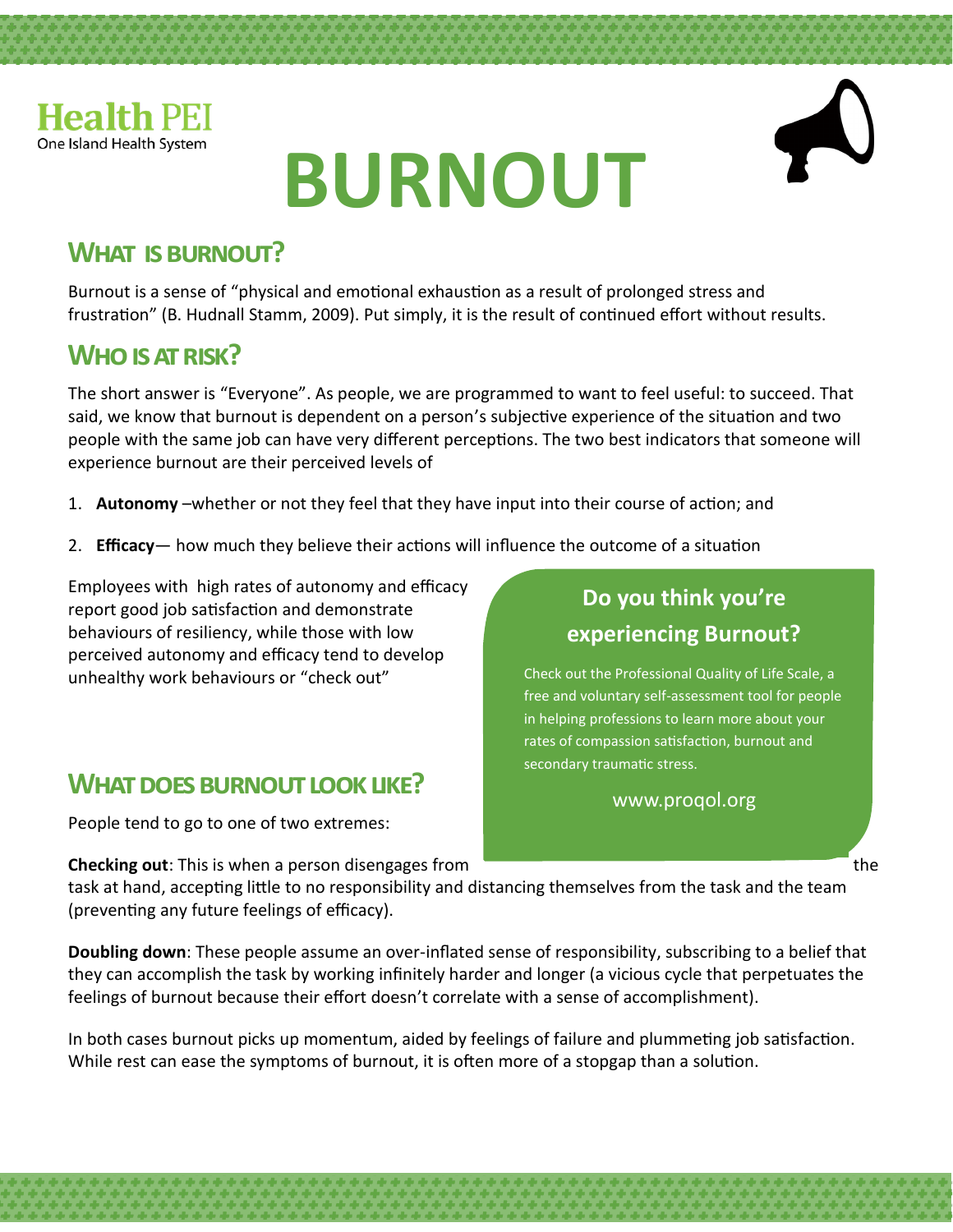

# **BURNOUT**



#### **What is burnout?**

Burnout is a sense of "physical and emotional exhaustion as a result of prolonged stress and frustration" (B. Hudnall Stamm, 2009). Put simply, it is the result of continued effort without results.

### **Who is at risk?**

The short answer is "Everyone". As people, we are programmed to want to feel useful: to succeed. That said, we know that burnout is dependent on a person's subjective experience of the situation and two people with the same job can have very different perceptions. The two best indicators that someone will experience burnout are their perceived levels of

- 1. **Autonomy** –whether or not they feel that they have input into their course of action; and
- 2. **Efficacy** how much they believe their actions will influence the outcome of a situation

Employees with high rates of autonomy and efficacy report good job satisfaction and demonstrate behaviours of resiliency, while those with low perceived autonomy and efficacy tend to develop unhealthy work behaviours or "check out"

#### **What does burnout look like?**

People tend to go to one of two extremes:

**Checking out**: This is when a person disengages from the theory of the the theory of the the theory of the theory of the theory of the theory of the theory of the theory of the theory of the theory of the theory of the th

#### **Do you think you're experiencing Burnout?**

Check out the Professional Quality of Life Scale, a free and voluntary self-assessment tool for people in helping professions to learn more about your rates of compassion satisfaction, burnout and secondary traumatic stress.

www.proqol.org

task at hand, accepting little to no responsibility and distancing themselves from the task and the team (preventing any future feelings of efficacy).

**Doubling down**: These people assume an over-inflated sense of responsibility, subscribing to a belief that they can accomplish the task by working infinitely harder and longer (a vicious cycle that perpetuates the feelings of burnout because their effort doesn't correlate with a sense of accomplishment).

In both cases burnout picks up momentum, aided by feelings of failure and plummeting job satisfaction. While rest can ease the symptoms of burnout, it is often more of a stopgap than a solution.